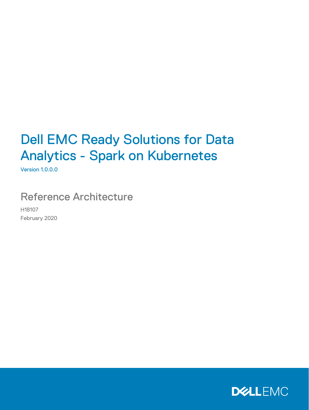# Dell EMC Ready Solutions for Data Analytics - Spark on Kubernetes

Version 1.0.0.0

Reference Architecture

H18107 February 2020

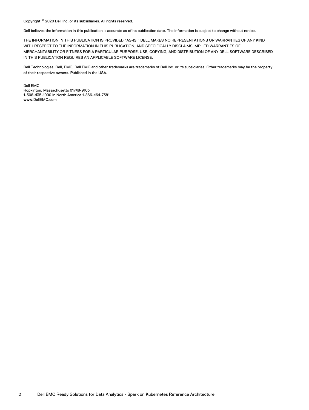Copyright © 2020 Dell Inc. or its subsidiaries. All rights reserved.

Dell believes the information in this publication is accurate as of its publication date. The information is subject to change without notice.

THE INFORMATION IN THIS PUBLICATION IS PROVIDED "AS-IS." DELL MAKES NO REPRESENTATIONS OR WARRANTIES OF ANY KIND WITH RESPECT TO THE INFORMATION IN THIS PUBLICATION, AND SPECIFICALLY DISCLAIMS IMPLIED WARRANTIES OF MERCHANTABILITY OR FITNESS FOR A PARTICULAR PURPOSE. USE, COPYING, AND DISTRIBUTION OF ANY DELL SOFTWARE DESCRIBED IN THIS PUBLICATION REQUIRES AN APPLICABLE SOFTWARE LICENSE.

Dell Technologies, Dell, EMC, Dell EMC and other trademarks are trademarks of Dell Inc. or its subsidiaries. Other trademarks may be the property of their respective owners. Published in the USA.

Dell EMC Hopkinton, Massachusetts 01748-9103 1-508-435-1000 In North America 1-866-464-7381 www.DellEMC.com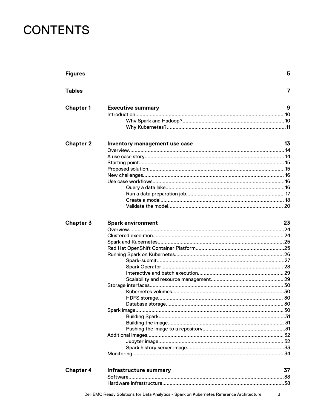## **CONTENTS**

| <b>Figures</b>   |                               | 5  |
|------------------|-------------------------------|----|
| <b>Tables</b>    |                               | 7  |
| <b>Chapter 1</b> | <b>Executive summary</b>      | 9  |
|                  |                               |    |
|                  |                               |    |
|                  |                               |    |
| <b>Chapter 2</b> | Inventory management use case | 13 |
|                  |                               |    |
|                  |                               |    |
|                  |                               |    |
|                  |                               |    |
|                  |                               |    |
|                  |                               |    |
|                  |                               |    |
|                  |                               |    |
|                  |                               |    |
|                  |                               |    |
| <b>Chapter 3</b> | <b>Spark environment</b>      | 23 |
|                  |                               |    |
|                  |                               |    |
|                  |                               |    |
|                  |                               |    |
|                  |                               |    |
|                  |                               |    |
|                  |                               |    |
|                  |                               |    |
|                  |                               |    |
|                  |                               |    |
|                  |                               |    |
|                  |                               |    |
|                  |                               |    |
|                  |                               |    |
|                  |                               |    |
|                  |                               |    |
|                  |                               |    |
|                  |                               |    |
|                  |                               |    |
|                  |                               |    |
| <b>Chapter 4</b> | Infrastructure summary        | 37 |
|                  |                               |    |
|                  |                               |    |

Dell EMC Ready Solutions for Data Analytics - Spark on Kubernetes Reference Architecture

 $\overline{\mathbf{3}}$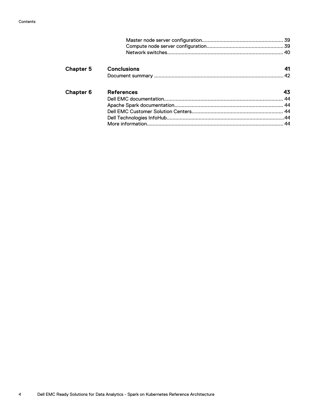| <b>Chapter 5</b> | <b>Conclusions</b> | 41 |
|------------------|--------------------|----|
|                  |                    |    |
| Chapter 6        | <b>References</b>  | 43 |
|                  |                    |    |
|                  |                    |    |
|                  |                    |    |
|                  |                    |    |
|                  |                    |    |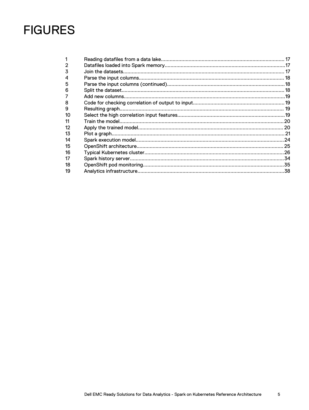## <span id="page-4-0"></span>**FIGURES**

| $\mathbf{2}$ |  |
|--------------|--|
| 3            |  |
| 4            |  |
| 5            |  |
| 6            |  |
|              |  |
| 8            |  |
| 9            |  |
| 10           |  |
| 11           |  |
| 12           |  |
| 13           |  |
| 14           |  |
| 15           |  |
| 16           |  |
| 17           |  |
| 18           |  |
| 19           |  |
|              |  |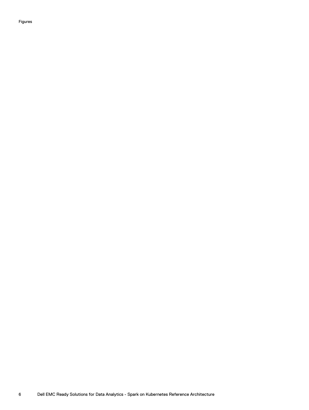Figures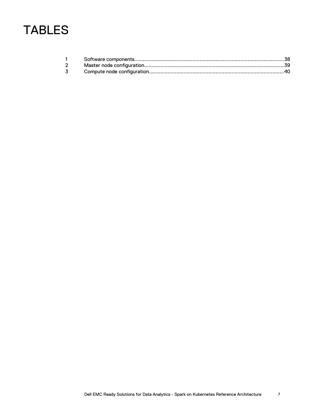# <span id="page-6-0"></span>TABLES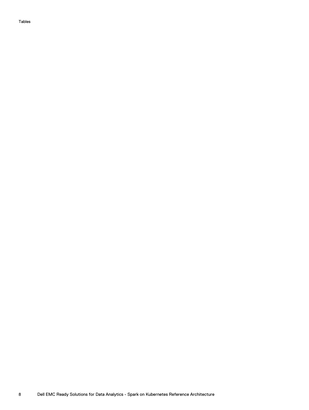Tables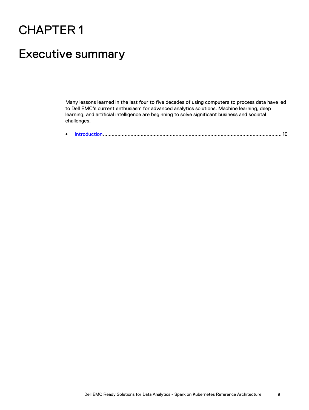# <span id="page-8-0"></span>CHAPTER 1

## Executive summary

Many lessons learned in the last four to five decades of using computers to process data have led to Dell EMC's current enthusiasm for advanced analytics solutions. Machine learning, deep learning, and artificial intelligence are beginning to solve significant business and societal challenges.

|--|--|--|--|--|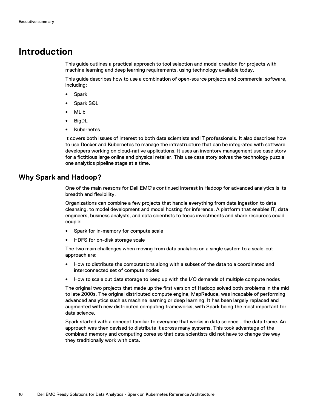## <span id="page-9-0"></span>**Introduction**

This guide outlines a practical approach to tool selection and model creation for projects with machine learning and deep learning requirements, using technology available today.

This guide describes how to use a combination of open-source projects and commercial software, including:

- **Spark**
- Spark SQL
- **MLib**
- **BigDL**
- **Kubernetes**

It covers both issues of interest to both data scientists and IT professionals. It also describes how to use Docker and Kubernetes to manage the infrastructure that can be integrated with software developers working on cloud-native applications. It uses an inventory management use case story for a fictitious large online and physical retailer. This use case story solves the technology puzzle one analytics pipeline stage at a time.

## **Why Spark and Hadoop?**

One of the main reasons for Dell EMC's continued interest in Hadoop for advanced analytics is its breadth and flexibility.

Organizations can combine a few projects that handle everything from data ingestion to data cleansing, to model development and model hosting for inference. A platform that enables IT, data engineers, business analysts, and data scientists to focus investments and share resources could couple:

- Spark for in-memory for compute scale
- <sup>l</sup> HDFS for on-disk storage scale

The two main challenges when moving from data analytics on a single system to a scale-out approach are:

- <sup>l</sup> How to distribute the computations along with a subset of the data to a coordinated and interconnected set of compute nodes
- <sup>l</sup> How to scale out data storage to keep up with the I/O demands of multiple compute nodes

The original two projects that made up the first version of Hadoop solved both problems in the mid to late 2000s. The original distributed compute engine, MapReduce, was incapable of performing advanced analytics such as machine learning or deep learning. It has been largely replaced and augmented with new distributed computing frameworks, with Spark being the most important for data science.

Spark started with a concept familiar to everyone that works in data science - the data frame. An approach was then devised to distribute it across many systems. This took advantage of the combined memory and computing cores so that data scientists did not have to change the way they traditionally work with data.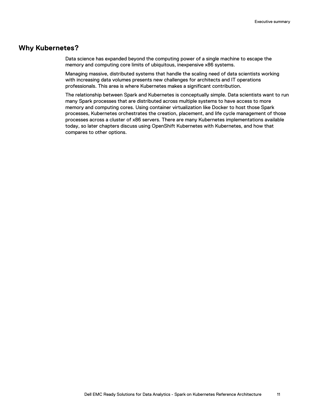## <span id="page-10-0"></span>**Why Kubernetes?**

Data science has expanded beyond the computing power of a single machine to escape the memory and computing core limits of ubiquitous, inexpensive x86 systems.

Managing massive, distributed systems that handle the scaling need of data scientists working with increasing data volumes presents new challenges for architects and IT operations professionals. This area is where Kubernetes makes a significant contribution.

The relationship between Spark and Kubernetes is conceptually simple. Data scientists want to run many Spark processes that are distributed across multiple systems to have access to more memory and computing cores. Using container virtualization like Docker to host those Spark processes, Kubernetes orchestrates the creation, placement, and life cycle management of those processes across a cluster of x86 servers. There are many Kubernetes implementations available today, so later chapters discuss using OpenShift Kubernetes with Kubernetes, and how that compares to other options.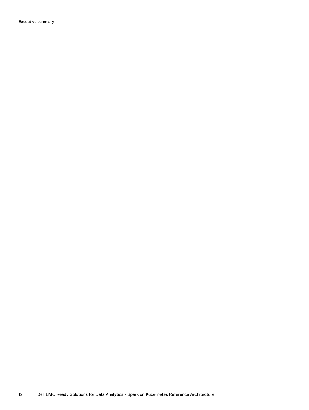Executive summary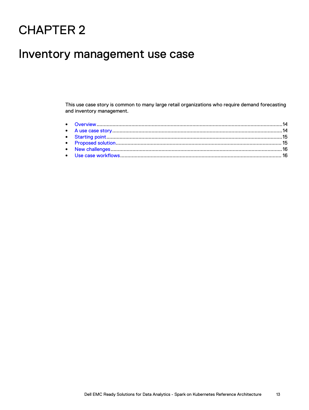# <span id="page-12-0"></span>CHAPTER 2

## Inventory management use case

This use case story is common to many large retail organizations who require demand forecasting and inventory management.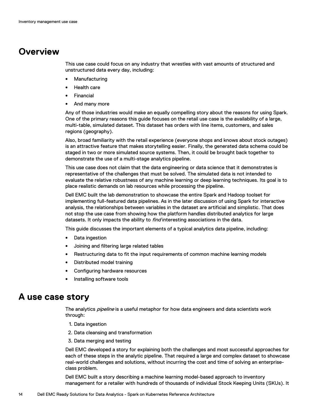## <span id="page-13-0"></span>**Overview**

This use case could focus on any industry that wrestles with vast amounts of structured and unstructured data every day, including:

- **Manufacturing**
- Health care
- **Financial**
- And many more

Any of those industries would make an equally compelling story about the reasons for using Spark. One of the primary reasons this guide focuses on the retail use case is the availability of a large, multi-table, simulated dataset. This dataset has orders with line items, customers, and sales regions (geography).

Also, broad familiarity with the retail experience (everyone shops and knows about stock outages) is an attractive feature that makes storytelling easier. Finally, the generated data schema could be staged in two or more simulated source systems. Then, it could be brought back together to demonstrate the use of a multi-stage analytics pipeline.

This use case does not claim that the data engineering or data science that it demonstrates is representative of the challenges that must be solved. The simulated data is not intended to evaluate the relative robustness of any machine learning or deep learning techniques. Its goal is to place realistic demands on lab resources while processing the pipeline.

Dell EMC built the lab demonstration to showcase the entire Spark and Hadoop toolset for implementing full-featured data pipelines. As in the later discussion of using Spark for interactive analysis, the relationships between variables in the dataset are artificial and simplistic. That does not stop the use case from showing how the platform handles distributed analytics for large datasets. It only impacts the ability to *find* interesting associations in the data.

This guide discusses the important elements of a typical analytics data pipeline, including:

- Data ingestion
- <sup>l</sup> Joining and filtering large related tables
- <sup>l</sup> Restructuring data to fit the input requirements of common machine learning models
- Distributed model training
- Configuring hardware resources
- Installing software tools

## **A use case story**

The analytics *pipeline* is a useful metaphor for how data engineers and data scientists work through:

- 1. Data ingestion
- 2. Data cleansing and transformation
- 3. Data merging and testing

Dell EMC developed a story for explaining both the challenges and most successful approaches for each of these steps in the analytic pipeline. That required a large and complex dataset to showcase real-world challenges and solutions, without incurring the cost and time of solving an enterpriseclass problem.

Dell EMC built a story describing a machine learning model-based approach to inventory management for a retailer with hundreds of thousands of individual Stock Keeping Units (SKUs). It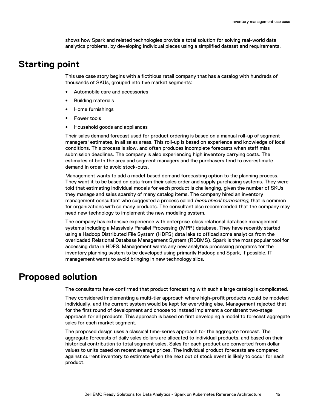shows how Spark and related technologies provide a total solution for solving real-world data analytics problems, by developing individual pieces using a simplified dataset and requirements.

## <span id="page-14-0"></span>**Starting point**

This use case story begins with a fictitious retail company that has a catalog with hundreds of thousands of SKUs, grouped into five market segments:

- Automobile care and accessories
- **Building materials**
- Home furnishings
- Power tools
- <sup>l</sup> Household goods and appliances

Their sales demand forecast used for product ordering is based on a manual roll-up of segment managers' estimates, in all sales areas. This roll-up is based on experience and knowledge of local conditions. This process is slow, and often produces incomplete forecasts when staff miss submission deadlines. The company is also experiencing high inventory carrying costs. The estimates of both the area and segment managers and the purchasers tend to overestimate demand in order to avoid stock-outs.

Management wants to add a model-based demand forecasting option to the planning process. They want it to be based on data from their sales order and supply purchasing systems. They were told that estimating individual models for each product is challenging, given the number of SKUs they manage and sales sparsity of many catalog items. The company hired an inventory management consultant who suggested a process called *hierarchical forecasting*, that is common for organizations with so many products. The consultant also recommended that the company may need new technology to implement the new modeling system.

The company has extensive experience with enterprise-class relational database management systems including a Massively Parallel Processing (MPP) database. They have recently started using a Hadoop Distributed File System (HDFS) data lake to offload some analytics from the overloaded Relational Database Management System (RDBMS). Spark is the most popular tool for accessing data in HDFS. Management wants any new analytics processing programs for the inventory planning system to be developed using primarily Hadoop and Spark, if possible. IT management wants to avoid bringing in new technology silos.

## **Proposed solution**

The consultants have confirmed that product forecasting with such a large catalog is complicated.

They considered implementing a multi-tier approach where high-profit products would be modeled individually, and the current system would be kept for everything else. Management rejected that for the first round of development and choose to instead implement a consistent two-stage approach for all products. This approach is based on first developing a model to forecast aggregate sales for each market segment.

The proposed design uses a classical time-series approach for the aggregate forecast. The aggregate forecasts of daily sales dollars are allocated to individual products, and based on their historical contribution to total segment sales. Sales for each product are converted from dollar values to units based on recent average prices. The individual product forecasts are compared against current inventory to estimate when the next out of stock event is likely to occur for each product.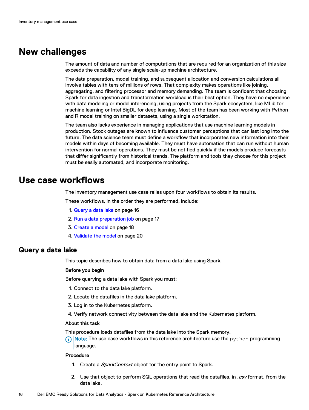## <span id="page-15-0"></span>**New challenges**

The amount of data and number of computations that are required for an organization of this size exceeds the capability of any single scale-up machine architecture.

The data preparation, model training, and subsequent allocation and conversion calculations all involve tables with tens of millions of rows. That complexity makes operations like joining, aggregating, and filtering processor and memory demanding. The team is confident that choosing Spark for data ingestion and transformation workload is their best option. They have no experience with data modeling or model inferencing, using projects from the Spark ecosystem, like MLib for machine learning or Intel BigDL for deep learning. Most of the team has been working with Python and R model training on smaller datasets, using a single workstation.

The team also lacks experience in managing applications that use machine learning models in production. Stock outages are known to influence customer perceptions that can last long into the future. The data science team must define a workflow that incorporates new information into their models within days of becoming available. They must have automation that can run without human intervention for normal operations. They must be notified quickly if the models produce forecasts that differ significantly from historical trends. The platform and tools they choose for this project must be easily automated, and incorporate monitoring.

## **Use case workflows**

The inventory management use case relies upon four workflows to obtain its results.

These workflows, in the order they are performed, include:

- 1. Query a data lake on page 16
- 2. [Run a data preparation job](#page-16-0) on page 17
- 3. [Create a model](#page-17-0) on page 18
- 4. [Validate the model](#page-19-0) on page 20

## **Query a data lake**

This topic describes how to obtain data from a data lake using Spark.

#### Before you begin

Before querying a data lake with Spark you must:

- 1. Connect to the data lake platform.
- 2. Locate the datafiles in the data lake platform.
- 3. Log in to the Kubernetes platform.
- 4. Verify network connectivity between the data lake and the Kubernetes platform.

#### About this task

This procedure loads datafiles from the data lake into the Spark memory.

 $\Omega$  Note: The use case workflows in this reference architecture use the python programming language.

#### Procedure

- 1. Create a *SparkContext* object for the entry point to Spark.
- 2. Use that object to perform SQL operations that read the datafiles, in .csv format, from the data lake.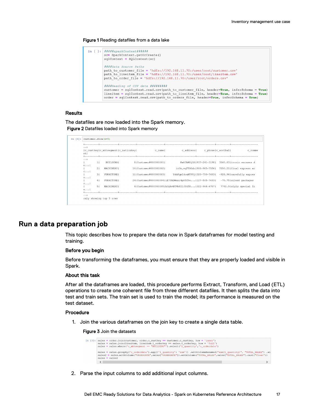#### Figure 1 Reading datafiles from a data lake

<span id="page-16-0"></span>

#### Results

The datafiles are now loaded into the Spark memory. Figure 2 Datafiles loaded into Spark memory

| In $[4]$ : | customer.show(n=5) |    |                                    |                                                            |                              |                          |                            |         |
|------------|--------------------|----|------------------------------------|------------------------------------------------------------|------------------------------|--------------------------|----------------------------|---------|
|            | $--+$              |    |                                    |                                                            |                              |                          |                            |         |
|            | nt                 |    | c custkey c mktseqment c nationkey | c name                                                     | c address                    | c phone c acctbal        |                            | c comme |
|            | $-- +$             |    |                                    |                                                            |                              |                          |                            |         |
|            |                    | 11 | <b>BUILDING</b>                    | 81Customer#0000000011                                      |                              | KwX3hMHiZ61937-241-31981 | 3560.03 ironic excuses d   |         |
|            | $e \ldots$         | 21 | <b>MACHINERY</b>                   | 16 Customer#000000002                                      | ioUn.eqTTXOdo!906-965-7556!  |                          | 7550.21 final express ac   |         |
|            | $C_{1,1,1}$        | 31 | <b>FURNITURE</b>                   | 11 Customer#000000003                                      | YddJgmIdouNT9Yj 328-750-7603 |                          | -926.96   carefully expres |         |
|            | 31                 | 41 | FURNITURE                          | 24   Customer#000000004   iE7PADWuxr4pR5f9e   127-505-7633 |                              |                          | -78.75 silent packages     |         |
|            | 3                  | 51 | <b>MACHINERY</b>                   | 4   Customer#000000005   h3yhvBTVbF2IJPzTK   322-864-6707  |                              |                          | 7741.9 slvlv special fr    |         |
|            | a                  |    |                                    |                                                            |                              |                          |                            |         |
|            | $-- +$             |    | only showing top 5 rows            |                                                            |                              |                          |                            |         |
|            |                    |    |                                    |                                                            |                              |                          |                            |         |

## **Run a data preparation job**

This topic describes how to prepare the data now in Spark dataframes for model testing and training.

#### Before you begin

Before transforming the dataframes, you must ensure that they are properly loaded and visible in Spark.

#### About this task

After all the dataframes are loaded, this procedure performs Extract, Transform, and Load (ETL) operations to create one coherent file from three different datafiles. It then splits the data into test and train sets. The train set is used to train the model; its performance is measured on the test dataset.

#### Procedure

1. Join the various dataframes on the join key to create a single data table.

Figure 3 Join the datasets

| In $[3]$ : sales = order join (customer, order o custkey == customer c custkey, how = 'inner')                                             |  |
|--------------------------------------------------------------------------------------------------------------------------------------------|--|
| sales = sales.join(lineitem, lineitem.l orderkey == sales.o orderkey, how = 'full')                                                        |  |
| sales = sales.where('c mktseqment == "BUILDING"').select('l quantity','o orderdate')                                                       |  |
| sales = sales.groupBy('o orderdate').aqq({'1 quantity': 'sum'}) .withColumnRenamed("sum(1 quantity)", "TOTAL SALES") .wi                   |  |
| sales2 = sales.withColumn("ORDERDATE",sales["ORDERDATE"]).withColumn("TOTAL SALES",sales["TOTAL SALES"].cast("float"))<br>$sales = sales2$ |  |
|                                                                                                                                            |  |
|                                                                                                                                            |  |

2. Parse the input columns to add additional input columns.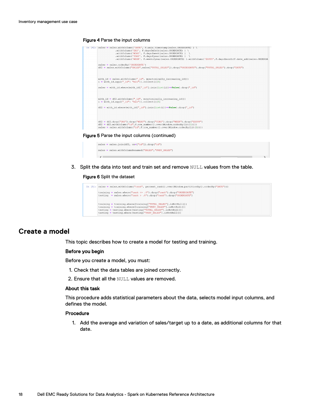#### Figure 4 Parse the input columns

<span id="page-17-0"></span>

 $\sim$ 

sales = sales.withColumnRenamed("SALES", "PREV SALES")

#### Figure 6 Split the dataset



3. Split the data into test and train set and remove NULL values from the table.

## **Create a model**

This topic describes how to create a model for testing and training.

#### Before you begin

Before you create a model, you must:

- 1. Check that the data tables are joined correctly.
- 2. Ensure that all the NULL values are removed.

#### About this task

This procedure adds statistical parameters about the data, selects model input columns, and defines the model.

#### Procedure

1. Add the average and variation of sales/target up to a date, as additional columns for that date.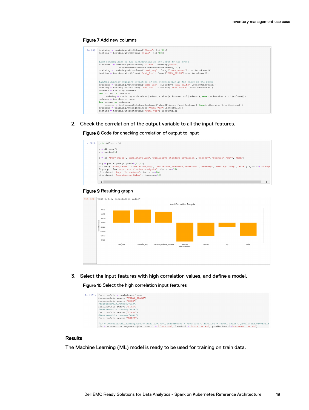#### <span id="page-18-0"></span>Figure 7 Add new columns

| In $[6]$ : training = training.withColumn('Class', lit(10))<br>testing = testing.withColumn('Class', lit(10))                                                                                                                                                                                                                                                                                                                                                                                                                                                                                                                                                                                                            |  |
|--------------------------------------------------------------------------------------------------------------------------------------------------------------------------------------------------------------------------------------------------------------------------------------------------------------------------------------------------------------------------------------------------------------------------------------------------------------------------------------------------------------------------------------------------------------------------------------------------------------------------------------------------------------------------------------------------------------------------|--|
| #Add Running Mean of the distribution as the input to the model<br>windowval = (Window.partitionBy('Class').orderBy('DATE')<br>.rangeBetween(Window.unboundedPreceding, 0))<br>training = training.withColumn('Cumi Avg', f.avg('PREV SALES').over(windowval))<br>testing = testing.withColumn('Cumi Avg', f.avg('PREV SALES').over(windowval))                                                                                                                                                                                                                                                                                                                                                                          |  |
| #Adding Running Standard Deviation of the distribution as the input to the model<br>training = training.withColumn('Cumi Var', f.stddev('PREV SALES').over(windowval))<br>testing = testing.withColumn('Cumi Var', f.stddev('PREV SALES').over(windowval))<br>$columns = training.columes$<br>for column in columns:<br>training = training.withColumn(column, F.when(F.isnan(F.col(column)), None).otherwise(F.col(column)))<br>$columns = testing.columes$<br>for column in columns:<br>testing = testing.withColumn(column, F.when(F.isnan(F.col(column)), None).otherwise(F.col(column)))<br>training = training.where(training["Cumi Var"].isNotNull())<br>testing = testing.where(testing["Cumi Var"].isNotNull()) |  |
|                                                                                                                                                                                                                                                                                                                                                                                                                                                                                                                                                                                                                                                                                                                          |  |

2. Check the correlation of the output variable to all the input features.

#### Figure 8 Code for checking correlation of output to input



### Figure 9 Resulting graph



3. Select the input features with high correlation values, and define a model.

Figure 10 Select the high correlation input features



#### **Results**

The Machine Learning (ML) model is ready to be used for training on train data.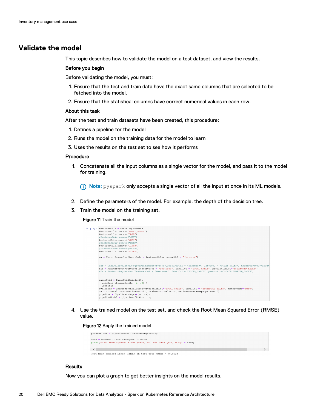## <span id="page-19-0"></span>**Validate the model**

This topic describes how to validate the model on a test dataset, and view the results.

#### Before you begin

Before validating the model, you must:

- 1. Ensure that the test and train data have the exact same columns that are selected to be fetched into the model.
- 2. Ensure that the statistical columns have correct numerical values in each row.

#### About this task

After the test and train datasets have been created, this procedure:

- 1. Defines a pipeline for the model
- 2. Runs the model on the training data for the model to learn
- 3. Uses the results on the test set to see how it performs

### Procedure

1. Concatenate all the input columns as a single vector for the model, and pass it to the model for training.

 $\Omega$  Note: pyspark only accepts a single vector of all the input at once in its ML models.

- 2. Define the parameters of the model. For example, the depth of the decision tree.
- 3. Train the model on the training set.

Figure 11 Train the model



4. Use the trained model on the test set, and check the Root Mean Squared Error (RMSE) value.

Figure 12 Apply the trained model

| predictions = pipelineModel.transform(testing)                                                                                               |  |
|----------------------------------------------------------------------------------------------------------------------------------------------|--|
| $rmse = evaluator.evaluate (predictions)$<br>print ("Root Mean Squared Error (RMSE) on test data (RFR) = $\sqrt[8]{q}$ " $\sqrt[8]{r}$ rmse) |  |
|                                                                                                                                              |  |
| Root Mean Squared Error (RMSE) on test data (RFR) = 70.5023                                                                                  |  |

#### Results

Now you can plot a graph to get better insights on the model results.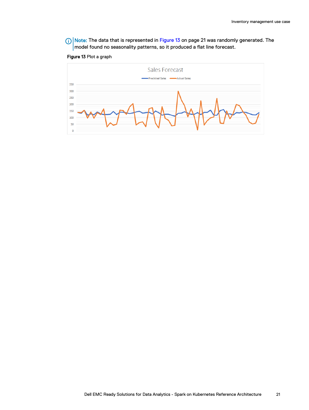<span id="page-20-0"></span> $\Omega$  Note: The data that is represented in Figure 13 on page 21 was randomly generated. The  $\big\vert$ model found no seasonality patterns, so it produced a flat line forecast.



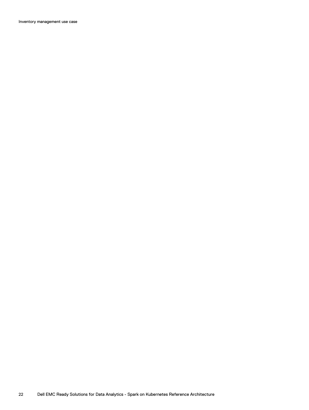Inventory management use case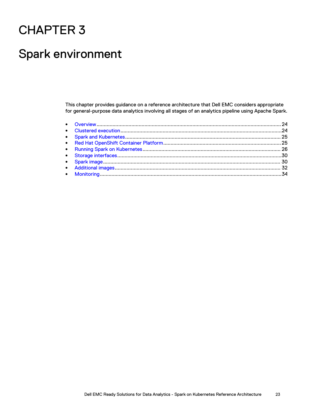# <span id="page-22-0"></span>CHAPTER 3

## Spark environment

This chapter provides guidance on a reference architecture that Dell EMC considers appropriate for general-purpose data analytics involving all stages of an analytics pipeline using Apache Spark.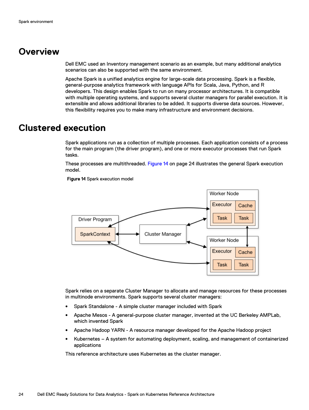## <span id="page-23-0"></span>**Overview**

Dell EMC used an Inventory management scenario as an example, but many additional analytics scenarios can also be supported with the same environment.

Apache Spark is a unified analytics engine for large-scale data processing. Spark is a flexible, general-purpose analytics framework with language APIs for Scala, Java, Python, and R developers. This design enables Spark to run on many processor architectures. It is compatible with multiple operating systems, and supports several cluster managers for parallel execution. It is extensible and allows additional libraries to be added. It supports diverse data sources. However, this flexibility requires you to make many infrastructure and environment decisions.

## **Clustered execution**

Spark applications run as a collection of multiple processes. Each application consists of a process for the main program (the driver program), and one or more executor processes that run Spark tasks.

These processes are multithreaded. Figure 14 on page 24 illustrates the general Spark execution model.

Figure 14 Spark execution model



Spark relies on a separate Cluster Manager to allocate and manage resources for these processes in multinode environments. Spark supports several cluster managers:

- <sup>l</sup> Spark Standalone A simple cluster manager included with Spark
- Apache Mesos A general-purpose cluster manager, invented at the UC Berkeley AMPLab, which invented Spark
- <sup>l</sup> Apache Hadoop YARN A resource manager developed for the Apache Hadoop project
- <sup>l</sup> Kubernetes A system for automating deployment, scaling, and management of containerized applications

This reference architecture uses Kubernetes as the cluster manager.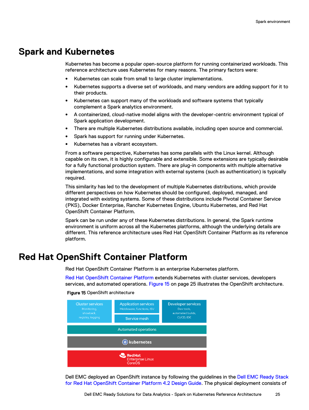## <span id="page-24-0"></span>**Spark and Kubernetes**

Kubernetes has become a popular open-source platform for running containerized workloads. This reference architecture uses Kubernetes for many reasons. The primary factors were:

- Kubernetes can scale from small to large cluster implementations.
- Kubernetes supports a diverse set of workloads, and many vendors are adding support for it to their products.
- Kubernetes can support many of the workloads and software systems that typically complement a Spark analytics environment.
- <sup>l</sup> A containerized, cloud-native model aligns with the developer-centric environment typical of Spark application development.
- <sup>l</sup> There are multiple Kubernetes distributions available, including open source and commercial.
- Spark has support for running under Kubernetes.
- Kubernetes has a vibrant ecosystem.

From a software perspective, Kubernetes has some parallels with the Linux kernel. Although capable on its own, it is highly configurable and extensible. Some extensions are typically desirable for a fully functional production system. There are plug-in components with multiple alternative implementations, and some integration with external systems (such as authentication) is typically required.

This similarity has led to the development of multiple Kubernetes distributions, which provide different perspectives on how Kubernetes should be configured, deployed, managed, and integrated with existing systems. Some of these distributions include Pivotal Container Service (PKS), Docker Enterprise, Rancher Kubernetes Engine, Ubuntu Kubernetes, and Red Hat OpenShift Container Platform.

Spark can be run under any of these Kubernetes distributions. In general, the Spark runtime environment is uniform across all the Kubernetes platforms, although the underlying details are different. This reference architecture uses Red Hat OpenShift Container Platform as its reference platform.

## **Red Hat OpenShift Container Platform**

Red Hat OpenShift Container Platform is an enterprise Kubernetes platform.

[Red Hat OpenShift Container Platform](https://www.openshift.com/products/container-platform) extends Kubernetes with cluster services, developers services, and automated operations. Figure 15 on page 25 illustrates the OpenShift architecture.

Figure 15 OpenShift architecture



Dell EMC deployed an OpenShift instance by following the guidelines in the [Dell EMC Ready Stack](https://infohub.delltechnologies.com/t/workload-solutions-and-products/design-guide-dell-emc-ready-stack-for-red-hat-openshift-container-platform-4-2/) [for Red Hat OpenShift Container Platform 4.2 Design Guide](https://infohub.delltechnologies.com/t/workload-solutions-and-products/design-guide-dell-emc-ready-stack-for-red-hat-openshift-container-platform-4-2/). The physical deployment consists of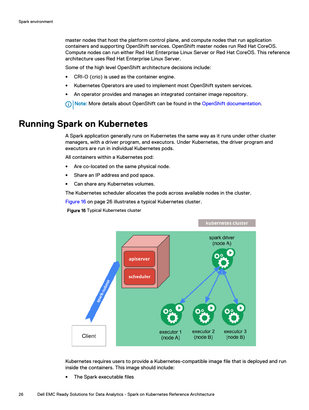<span id="page-25-0"></span>master nodes that host the platform control plane, and compute nodes that run application containers and supporting OpenShift services. OpenShift master nodes run Red Hat CoreOS. Compute nodes can run either Red Hat Enterprise Linux Server or Red Hat CoreOS. This reference architecture uses Red Hat Enterprise Linux Server.

Some of the high level OpenShift architecture decisions include:

- CRI-O (crio) is used as the container engine.
- Kubernetes Operators are used to implement most OpenShift system services.
- <sup>l</sup> An operator provides and manages an integrated container image repository.

Note: More details about OpenShift can be found in the [OpenShift documentation.](https://docs.openshift.com/)

## **Running Spark on Kubernetes**

A Spark application generally runs on Kubernetes the same way as it runs under other cluster managers, with a driver program, and executors. Under Kubernetes, the driver program and executors are run in individual Kubernetes pods.

All containers within a Kubernetes pod:

- Are co-located on the same physical node.
- Share an IP address and pod space.
- Can share any Kubernetes volumes.

The Kubernetes scheduler allocates the pods across available nodes in the cluster.

Figure 16 on page 26 illustrates a typical Kubernetes cluster.

Figure 16 Typical Kubernetes cluster



Kubernetes requires users to provide a Kubernetes-compatible image file that is deployed and run inside the containers. This image should include:

• The Spark executable files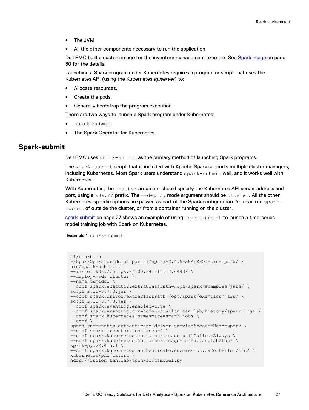- <span id="page-26-0"></span><sup>l</sup> The JVM
- All the other components necessary to run the application

Dell EMC built a custom image for the inventory management example. See [Spark image](#page-29-0) on page 30 for the details.

Launching a Spark program under Kubernetes requires a program or script that uses the Kubernetes API (using the Kubernetes *apiserver*) to:

- Allocate resources.
- Create the pods.
- Generally bootstrap the program execution.

There are two ways to launch a Spark program under Kubernetes:

- $\bullet$  spark-submit
- The Spark Operator for Kubernetes

### **Spark-submit**

Dell EMC uses spark-submit as the primary method of launching Spark programs.

The spark-submit script that is included with Apache Spark supports multiple cluster managers, including Kubernetes. Most Spark users understand spark-submit well, and it works well with Kubernetes.

With Kubernetes, the  $-master$  argument should specify the Kubernetes API server address and port, using a  $k8s$ : // prefix. The  $-\text{depth}$  mode argument should be cluster. All the other Kubernetes-specific options are passed as part of the Spark configuration. You can run sparksubmit of outside the cluster, or from a container running on the cluster.

spark-submit on page 27 shows an example of using spark-submit to launch a time-series model training job with Spark on Kubernetes.

Example 1 spark-submit

```
#!/bin/bash
~/SparkOperator/demo/spark01/spark-2.4.5-SNAPSHOT-bin-spark/ \
bin/spark-submit \
--master k8s://https://100.84.118.17:6443/ \
--deploy-mode cluster \
--name tsmodel \
--conf spark.executor.extraClassPath=/opt/spark/examples/jars/ \
scopt 2.11-3.7.0.jar \
--conf spark.driver.extraClassPath=/opt/spark/examples/jars/ \
scopt 2.11-3.7.0.jar \
--conf spark.eventLog.enabled=true \
--conf spark.eventLog.dir=hdfs://isilon.tan.lab/history/spark-logs \
--conf spark.kubernetes.namespace=spark-jobs \
--confspark.kubernetes.authenticate.driver.serviceAccountName=spark \
--conf spark.executor.instances=4 \
--conf spark.kubernetes.container.image.pullPolicy=Always \<br>--conf spark.kubernetes.container.image=infra.tan.lab/tan/ \
--conf spark.kubernetes.container.image=infra.tan.lab/tan/ \
spark-py:v2.4.5.1--conf spark.kubernetes.authenticate.submission.caCertFile=/etc/ \
kubernetes/pki/ca.crt \
hdfs://isilon.tan.lab/tpch-s1/tsmodel.py
```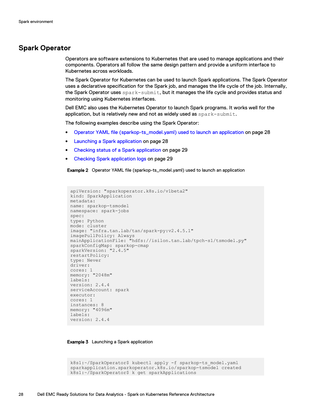## <span id="page-27-0"></span>**Spark Operator**

Operators are software extensions to Kubernetes that are used to manage applications and their components. Operators all follow the same design pattern and provide a uniform interface to Kubernetes across workloads.

The Spark Operator for Kubernetes can be used to launch Spark applications. The Spark Operator uses a declarative specification for the Spark job, and manages the life cycle of the job. Internally, the Spark Operator uses spark-submit, but it manages the life cycle and provides status and monitoring using Kubernetes interfaces.

Dell EMC also uses the Kubernetes Operator to launch Spark programs. It works well for the application, but is relatively new and not as widely used as spark-submit.

The following examples describe using the Spark Operator:

- <sup>l</sup> Operator YAML file (sparkop-ts\_model.yaml) used to launch an application on page 28
- **Launching a Spark application on page 28**
- [Checking status of a Spark application](#page-28-0) on page 29
- **[Checking Spark application logs](#page-28-0) on page 29**

Example 2 Operator YAML file (sparkop-ts\_model.yaml) used to launch an application

```
apiVersion: "sparkoperator.k8s.io/v1beta2"
kind: SparkApplication
metadata:
name: sparkop-tsmodel
namespace: spark-jobs
spec:
type: Python
mode: cluster
image: "infra.tan.lab/tan/spark-py:v2.4.5.1"
imagePullPolicy: Always
mainApplicationFile: "hdfs://isilon.tan.lab/tpch-s1/tsmodel.py"
sparkConfigMap: sparkop-cmap
sparkVersion: "2.4.5"
restartPolicy:
type: Never
driver:
cores: 1
memory: "2048m"
labels:
version: 2.4.4
serviceAccount: spark
executor:
cores: 1
instances: 8
memory: "4096m"
labels:
version: 2.4.4
```
Example 3 Launching a Spark application

```
k8s1:~/SparkOperator$ kubectl apply -f sparkop-ts_model.yaml
sparkapplication.sparkoperator.k8s.io/sparkop-tsmodel created
k8s1:~/SparkOperator$ k get sparkApplications
```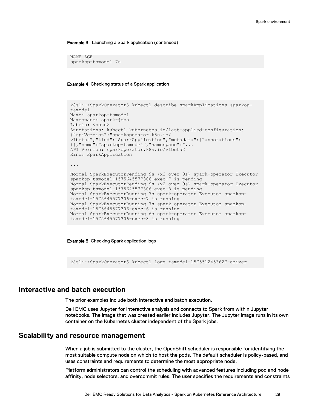<span id="page-28-0"></span>Example 3 Launching a Spark application (continued)

```
NAME AGE
sparkop-tsmodel 7s
```
Example 4 Checking status of a Spark application

```
k8s1:~/SparkOperator$ kubectl describe sparkApplications sparkop-
tsmodel
Name: sparkop-tsmodel
Namespace: spark-jobs
Labels: < none>
Annotations: kubectl.kubernetes.io/last-applied-configuration:
{"apiVersion":"sparkoperator.k8s.io/
v1beta2","kind":"SparkApplication","metadata":{"annotations":
{},"name":"sparkop-tsmodel","namespace":"...
API Version: sparkoperator.k8s.io/v1beta2
Kind: SparkApplication
...
Normal SparkExecutorPending 9s (x2 over 9s) spark-operator Executor 
sparkop-tsmodel-1575645577306-exec-7 is pending
Normal SparkExecutorPending 9s (x2 over 9s) spark-operator Executor 
sparkop-tsmodel-1575645577306-exec-8 is pending
Normal SparkExecutorRunning 7s spark-operator Executor sparkop-
tsmodel-1575645577306-exec-7 is running
Normal SparkExecutorRunning 7s spark-operator Executor sparkop-
tsmodel-1575645577306-exec-6 is running
Normal SparkExecutorRunning 6s spark-operator Executor sparkop-
tsmodel-1575645577306-exec-8 is running
```
Example 5 Checking Spark application logs

k8s1:~/SparkOperator\$ kubectl logs tsmodel-1575512453627-driver

## **Interactive and batch execution**

The prior examples include both interactive and batch execution.

Dell EMC uses Jupyter for interactive analysis and connects to Spark from within Jupyter notebooks. The image that was created earlier includes Jupyter. The Jupyter image runs in its own container on the Kubernetes cluster independent of the Spark jobs.

### **Scalability and resource management**

When a job is submitted to the cluster, the OpenShift scheduler is responsible for identifying the most suitable compute node on which to host the pods. The default scheduler is policy-based, and uses constraints and requirements to determine the most appropriate node.

Platform administrators can control the scheduling with advanced features including pod and node affinity, node selectors, and overcommit rules. The user specifies the requirements and constraints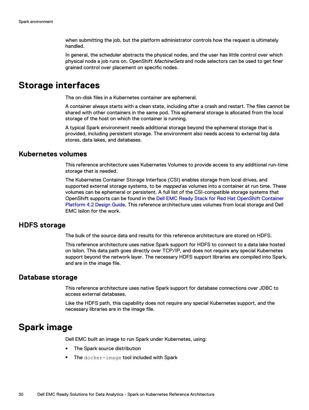<span id="page-29-0"></span>when submitting the job, but the platform administrator controls how the request is ultimately handled.

In general, the scheduler abstracts the physical nodes, and the user has little control over which physical node a job runs on. OpenShift *MachineSets* and node selectors can be used to get finer grained control over placement on specific nodes.

## **Storage interfaces**

The on-disk files in a Kubernetes container are ephemeral.

A container always starts with a clean state, including after a crash and restart. The files cannot be shared with other containers in the same pod. This ephemeral storage is allocated from the local storage of the host on which the container is running.

A typical Spark environment needs additional storage beyond the ephemeral storage that is provided, including persistent storage. The environment also needs access to external big data stores, data lakes, and databases.

## **Kubernetes volumes**

This reference architecture uses Kubernetes Volumes to provide access to any additional run-time storage that is needed.

The Kubernetes Container Storage Interface (CSI) enables storage from local drives, and supported external storage systems, to be *mapped* as volumes into a container at run time. These volumes can be ephemeral or persistent. A full list of the CSI-compatible storage systems that OpenShift supports can be found in the [Dell EMC Ready Stack for Red Hat OpenShift Container](https://infohub.delltechnologies.com/t/workload-solutions-and-products/design-guide-dell-emc-ready-stack-for-red-hat-openshift-container-platform-4-2/) [Platform 4.2 Design Guide](https://infohub.delltechnologies.com/t/workload-solutions-and-products/design-guide-dell-emc-ready-stack-for-red-hat-openshift-container-platform-4-2/). This reference architecture uses volumes from local storage and Dell EMC Isilon for the work.

## **HDFS storage**

The bulk of the source data and results for this reference architecture are stored on HDFS.

This reference architecture uses native Spark support for HDFS to connect to a data lake hosted on Isilon. This data path goes directly over TCP/IP, and does not require any special Kubernetes support beyond the network layer. The necessary HDFS support libraries are compiled into Spark, and are in the image file.

### **Database storage**

This reference architecture uses native Spark support for database connections over JDBC to access external databases.

Like the HDFS path, this capability does not require any special Kubernetes support, and the necessary libraries are in the image file.

## **Spark image**

Dell EMC built an image to run Spark under Kubernetes, using:

- The Spark source distribution
- The docker-image tool included with Spark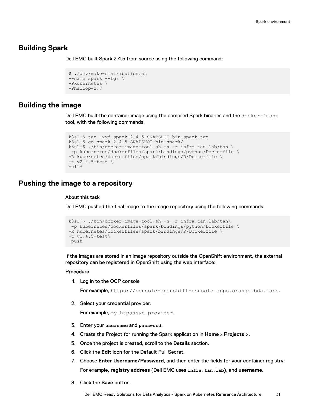## <span id="page-30-0"></span>**Building Spark**

Dell EMC built Spark 2.4.5 from source using the following command:

```
$ ./dev/make-distribution.sh
--name spark --tgz \
-Pkubernetes \
-Phadoop-2.7
```
## **Building the image**

Dell EMC built the container image using the compiled Spark binaries and the  $d$ ocker-image tool, with the following commands:

```
k8s1:$ tar -xvf spark-2.4.5-SNAPSHOT-bin-spark.tgz
k8s1:$ cd spark-2.4.5-SNAPSHOT-bin-spark/
k8s1:$ ./bin/docker-image-tool.sh -n -r infra.tan.lab/tan \
 -p kubernetes/dockerfiles/spark/bindings/python/Dockerfile \
-R kubernetes/dockerfiles/spark/bindings/R/Dockerfile \
-t v2.4.5-test \
build
```
## **Pushing the image to a repository**

#### About this task

Dell EMC pushed the final image to the image repository using the following commands:

```
k8s1:$ ./bin/docker-image-tool.sh -n -r infra.tan.lab/tan\
 -p kubernetes/dockerfiles/spark/bindings/python/Dockerfile \
-R kubernetes/dockerfiles/spark/bindings/R/Dockerfile \
-t v2.4.5-test\
 push
```
If the images are stored in an image repository outside the OpenShift environment, the external repository can be registered in OpenShift using the web interface:

#### Procedure

1. Log in to the OCP console

For example, https://console-openshift-console.apps.orange.bda.labs.

2. Select your credential provider.

For example, my-htpasswd-provider.

- 3. Enter your **username** and **password**.
- 4. Create the Project for running the Spark application in **Home** > **Projects** >.
- 5. Once the project is created, scroll to the **Details** section.
- 6. Click the **Edit** icon for the Default Pull Secret.
- 7. Choose **Enter Username/Password**, and then enter the fields for your container registry: For example, **registry address** (Dell EMC uses **infra.tan.lab**), and **username**.
- 8. Click the **Save** button.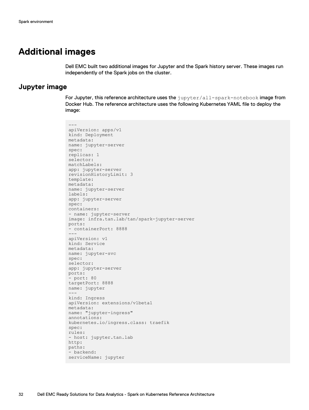## <span id="page-31-0"></span>**Additional images**

Dell EMC built two additional images for Jupyter and the Spark history server. These images run independently of the Spark jobs on the cluster.

## **Jupyter image**

For Jupyter, this reference architecture uses the jupyter/all-spark-notebook image from Docker Hub. The reference architecture uses the following Kubernetes YAML file to deploy the image:

```
---
apiVersion: apps/v1
kind: Deployment
metadata:
name: jupyter-server
spec:
replicas: 1
selector:
matchLabels:
app: jupyter-server
revisionHistoryLimit: 3
template:
metadata:
name: jupyter-server
labels:
app: jupyter-server
spec:
containers:
- name: jupyter-server
image: infra.tan.lab/tan/spark-jupyter-server
ports:
- containerPort: 8888
---
apiVersion: v1
kind: Service
metadata:
name: jupyter-svc
spec:
selector:
app: jupyter-server
ports:
- port: 80
targetPort: 8888
name: jupyter
---
kind: Ingress
apiVersion: extensions/v1beta1
metadata:
name: "jupyter-ingress"
annotations:
kubernetes.io/ingress.class: traefik
spec:
rules:
- host: jupyter.tan.lab
http:
paths:
- backend:
serviceName: jupyter
```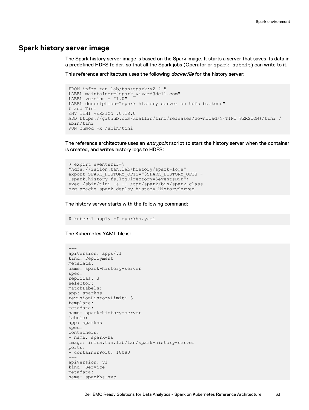## <span id="page-32-0"></span>**Spark history server image**

The Spark history server image is based on the Spark image. It starts a server that saves its data in a predefined HDFS folder, so that all the Spark jobs (Operator or spark-submit) can write to it.

This reference architecture uses the following *dockerfile* for the history server:

```
FROM infra.tan.lab/tan/spark:v2.4.5
LABEL maintainer="spark_wizard@dell.com"
LABEL version = "1.0"
LABEL description="spark history server on hdfs backend"
# add Tini
ENV TINI VERSION v0.18.0
ADD https://github.com/krallin/tini/releases/download/${TINI_VERSION}/tini /
sbin/tini
RUN chmod +x /sbin/tini
```
The reference architecture uses an *entrypoint* script to start the history server when the container is created, and writes history logs to HDFS:

```
$ export eventsDir=\
"hdfs://isilon.tan.lab/history/spark-logs"
export SPARK HISTORY OPTS="$SPARK HISTORY OPTS -
Dspark.history.fs.logDirectory=$eventsDir";
exec /sbin/tini -s -- /opt/spark/bin/spark-class 
org.apache.spark.deploy.history.HistoryServer
```
The history server starts with the following command:

```
$ kubectl apply -f sparkhs.yaml
```
The Kubernetes YAML file is:

```
---
apiVersion: apps/v1
kind: Deployment
metadata:
name: spark-history-server
spec:
replicas: 3
selector:
matchLabels:
app: sparkhs
revisionHistoryLimit: 3
template:
metadata:
name: spark-history-server
labels:
app: sparkhs
spec:
containers:
- name: spark-hs
image: infra.tan.lab/tan/spark-history-server
ports:
- containerPort: 18080
---
apiVersion: v1
kind: Service
metadata:
name: sparkhs-svc
```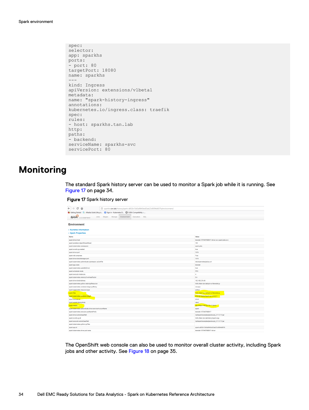```
spec:
selector:
app: sparkhs
ports:
 - port: 80
targetPort: 18080
name: sparkhs
---
kind: Ingress
apiVersion: extensions/v1beta1
metadata:
name: "spark-history-ingress"
annotations:
kubernetes.io/ingress.class: traefik
spec:
rules:
- host: sparkhs.tan.lab
http:
paths:
- backend:
serviceName: sparkhs-svc
servicePort: 80
```
## **Monitoring**

The standard Spark history server can be used to monitor a Spark job while it is running. See Figure 17 on page 34.

#### Figure 17 Spark history server

| $\leftarrow$ $\rightarrow$ $\in$ $\omega$<br>1 Sparkhs.tan.lab/history/spark-a802b13d5a9840dc83ab23c9094d607b/environment/ |                                                 |  |  |  |  |
|----------------------------------------------------------------------------------------------------------------------------|-------------------------------------------------|--|--|--|--|
| Getting Started & vRealize Suite Lifecycl Sign in - Kubernetes D @ CUDA Compatibility ::                                   |                                                 |  |  |  |  |
| Spark 2.4.5-SNAP SHOT<br><b>Jobs</b><br>Stages<br>Storage<br>Environment<br>Executors<br>SQL                               |                                                 |  |  |  |  |
| <b>Environment</b>                                                                                                         |                                                 |  |  |  |  |
| Runtime Information                                                                                                        |                                                 |  |  |  |  |
| - Spark Properties                                                                                                         |                                                 |  |  |  |  |
| Name                                                                                                                       | Value                                           |  |  |  |  |
| spark.driver.host                                                                                                          | tsmodel-1575467988917-driver-svc.spark-jobs.svc |  |  |  |  |
| spark.serializer.objectStreamReset                                                                                         | 100                                             |  |  |  |  |
| spark.kubernetes.namespace                                                                                                 | spark-jobs                                      |  |  |  |  |
| spark.eventLog.enabled                                                                                                     | true                                            |  |  |  |  |
| spark.driver.port                                                                                                          | 7078                                            |  |  |  |  |
| spark.rdd.compress                                                                                                         | True                                            |  |  |  |  |
| spark.driver.blockManager.port                                                                                             | 7079                                            |  |  |  |  |
| spark.kubernetes.authenticate.submission.caCertFile                                                                        | /etc/kubernetes/pk/ca.crt                       |  |  |  |  |
| spark.app.name                                                                                                             | tsmodel                                         |  |  |  |  |
| spark.kubernetes.submitinDriver                                                                                            | true                                            |  |  |  |  |
| spark.scheduler.mode                                                                                                       | <b>FIFO</b>                                     |  |  |  |  |
| spark.executor.instances                                                                                                   | $\overline{4}$                                  |  |  |  |  |
| spark.kubernetes.memoryOverheadFactor                                                                                      | 0.4                                             |  |  |  |  |
| spark.driver.bindAddress                                                                                                   | 192.168.219.49                                  |  |  |  |  |
| spark.kubernetes.python.mainAppResource                                                                                    | hdfs://isilon.tan.lab/tpch-s1/tsmodel.py        |  |  |  |  |
| spark.kubernetes.container.image.pullPolicy                                                                                | Always                                          |  |  |  |  |
| spark.kubernetes.resource.type                                                                                             | python                                          |  |  |  |  |
| spark.files                                                                                                                | hdfs://isilon.tan.iab/tpch-s1/tsmodel.py        |  |  |  |  |
| spark.kubernetes.container.image-                                                                                          | infra.tan.lab/tan/spark-py.v2.4.5.1             |  |  |  |  |
| spark.executor.id                                                                                                          | driver                                          |  |  |  |  |
| spark.submit.deployMode                                                                                                    | client                                          |  |  |  |  |
| spark.master                                                                                                               | k8s://https://100.84.118.17.6443/               |  |  |  |  |
| spark.kubernetes.authenticate.driver.serviceAccountName                                                                    | spark                                           |  |  |  |  |
| spark.kubernetes.executor.podNamePrefix                                                                                    | tsmodel-1575467988917                           |  |  |  |  |
| spark.driver.extraClassPath                                                                                                | /opt/spark/examples/jars/scopt_2.11-3.7.0.jar   |  |  |  |  |
| spark.eventLog.dir                                                                                                         | hdfs://isilon.tan.lab/history/spark-logs        |  |  |  |  |
| spark.executor.extraClassPath                                                                                              | /opt/spark/examples/jars/scopt_2.11-3.7.0.jar   |  |  |  |  |
| spark.kubernetes.python.pyFiles                                                                                            |                                                 |  |  |  |  |
| spark.app.id                                                                                                               | spark-a802b13d5a9840dc83ab23c9094d607b          |  |  |  |  |
| snark kuhernetes driver nod name                                                                                           | temodal_1575467988917_driver                    |  |  |  |  |

The OpenShift web console can also be used to monitor overall cluster activity, including Spark jobs and other activity. See [Figure 18](#page-34-0) on page 35.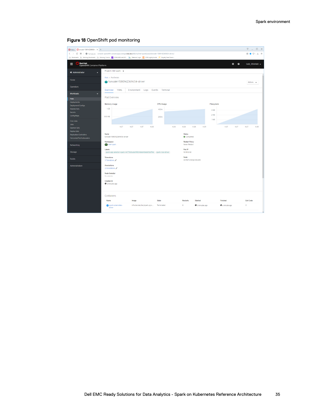### <span id="page-34-0"></span>Figure 18 OpenShift pod monitoring

| $\bullet$ Menu $\bullet$ Strmodel-1580142369654- $\times$ +<br>$\langle \quad \rangle$<br>C 88   @ Not secure console-openshift-console.apps.orange.bda.labs/k8s/ns/intel-spark/pods/tsmodel-1580142369654-driver/<br>$\begin{array}{c c c c c c} \hline \textbf{0} & \textbf{0} & \textbf{0} & \textbf{0} & \textbf{0} \\\hline \end{array}$<br>[2] Bookmarks [2] Morning Bookmarks [2] Morning Comics [2] XOM,AAPL,dell,GO [11] Webmail Login [2] XVM nightly builds [ Royalty Free Classic<br>Red Hat<br>$\bullet$<br>$\bullet$<br>todd_littlefield -<br>ᆯ<br>OpenShift Container Platform<br>Project: intel-spark -<br><b>Φ</b> Administrator<br>ь<br>Pods > Pod Details<br>Home<br>n tsmodel-1580142369654-driver<br>Actions $\rightarrow$<br><b>Operators</b><br>YAML<br>Environment Logs<br>Terminal<br>Overview<br>Events<br>Workloads<br>$\ddot{\phantom{1}}$<br>Pod Overview<br>Pods<br><b>Deployments</b><br><b>CPU Usage</b><br>Filesystem<br><b>Memory Usage</b><br><b>Deployment Configs</b><br><b>Stateful Sets</b><br>1 GB<br>400m<br>3 MB<br><b>Secrets</b><br>2MB<br><b>Config Maps</b><br>500 MB<br>200 <sub>m</sub><br>1 MB<br>Cron Jobs |
|--------------------------------------------------------------------------------------------------------------------------------------------------------------------------------------------------------------------------------------------------------------------------------------------------------------------------------------------------------------------------------------------------------------------------------------------------------------------------------------------------------------------------------------------------------------------------------------------------------------------------------------------------------------------------------------------------------------------------------------------------------------------------------------------------------------------------------------------------------------------------------------------------------------------------------------------------------------------------------------------------------------------------------------------------------------------------------------------------------------------------------------------------------------|
|                                                                                                                                                                                                                                                                                                                                                                                                                                                                                                                                                                                                                                                                                                                                                                                                                                                                                                                                                                                                                                                                                                                                                              |
|                                                                                                                                                                                                                                                                                                                                                                                                                                                                                                                                                                                                                                                                                                                                                                                                                                                                                                                                                                                                                                                                                                                                                              |
|                                                                                                                                                                                                                                                                                                                                                                                                                                                                                                                                                                                                                                                                                                                                                                                                                                                                                                                                                                                                                                                                                                                                                              |
|                                                                                                                                                                                                                                                                                                                                                                                                                                                                                                                                                                                                                                                                                                                                                                                                                                                                                                                                                                                                                                                                                                                                                              |
|                                                                                                                                                                                                                                                                                                                                                                                                                                                                                                                                                                                                                                                                                                                                                                                                                                                                                                                                                                                                                                                                                                                                                              |
|                                                                                                                                                                                                                                                                                                                                                                                                                                                                                                                                                                                                                                                                                                                                                                                                                                                                                                                                                                                                                                                                                                                                                              |
|                                                                                                                                                                                                                                                                                                                                                                                                                                                                                                                                                                                                                                                                                                                                                                                                                                                                                                                                                                                                                                                                                                                                                              |
|                                                                                                                                                                                                                                                                                                                                                                                                                                                                                                                                                                                                                                                                                                                                                                                                                                                                                                                                                                                                                                                                                                                                                              |
|                                                                                                                                                                                                                                                                                                                                                                                                                                                                                                                                                                                                                                                                                                                                                                                                                                                                                                                                                                                                                                                                                                                                                              |
|                                                                                                                                                                                                                                                                                                                                                                                                                                                                                                                                                                                                                                                                                                                                                                                                                                                                                                                                                                                                                                                                                                                                                              |
|                                                                                                                                                                                                                                                                                                                                                                                                                                                                                                                                                                                                                                                                                                                                                                                                                                                                                                                                                                                                                                                                                                                                                              |
|                                                                                                                                                                                                                                                                                                                                                                                                                                                                                                                                                                                                                                                                                                                                                                                                                                                                                                                                                                                                                                                                                                                                                              |
| Jobs                                                                                                                                                                                                                                                                                                                                                                                                                                                                                                                                                                                                                                                                                                                                                                                                                                                                                                                                                                                                                                                                                                                                                         |
| 11:27<br>11:27<br>11:27<br>11:28<br>11:28<br>11:28<br>11:28<br>11:29<br>11:27<br>11:27<br>11:27<br>11:28<br><b>Daemon Sets</b>                                                                                                                                                                                                                                                                                                                                                                                                                                                                                                                                                                                                                                                                                                                                                                                                                                                                                                                                                                                                                               |
| <b>Replica Sets</b>                                                                                                                                                                                                                                                                                                                                                                                                                                                                                                                                                                                                                                                                                                                                                                                                                                                                                                                                                                                                                                                                                                                                          |
| <b>Status</b><br>Name<br><b>Replication Controllers</b><br>tsmodel-1580142369654-driver<br>Completed                                                                                                                                                                                                                                                                                                                                                                                                                                                                                                                                                                                                                                                                                                                                                                                                                                                                                                                                                                                                                                                         |
| <b>Horizontal Pod Autoscalers</b><br><b>Restart Policy</b>                                                                                                                                                                                                                                                                                                                                                                                                                                                                                                                                                                                                                                                                                                                                                                                                                                                                                                                                                                                                                                                                                                   |
| Namespace<br><b>Never Restart</b><br>NS intel-spark<br>Networking                                                                                                                                                                                                                                                                                                                                                                                                                                                                                                                                                                                                                                                                                                                                                                                                                                                                                                                                                                                                                                                                                            |
| Pod IP<br>Labels<br>Storage<br>10.131.0.92<br>spark-app-selector=spark-46779d3ca5e74534b6d40ebb012cf7e6 spark-role=driver                                                                                                                                                                                                                                                                                                                                                                                                                                                                                                                                                                                                                                                                                                                                                                                                                                                                                                                                                                                                                                    |
| Node<br><b>Tolerations</b>                                                                                                                                                                                                                                                                                                                                                                                                                                                                                                                                                                                                                                                                                                                                                                                                                                                                                                                                                                                                                                                                                                                                   |
| <b>Builds</b><br>worker1.orange.bda.labs<br>3 Tolerations                                                                                                                                                                                                                                                                                                                                                                                                                                                                                                                                                                                                                                                                                                                                                                                                                                                                                                                                                                                                                                                                                                    |
| Annotations<br>Administration<br>2 Annotations                                                                                                                                                                                                                                                                                                                                                                                                                                                                                                                                                                                                                                                                                                                                                                                                                                                                                                                                                                                                                                                                                                               |
| <b>Node Selector</b><br>No selector                                                                                                                                                                                                                                                                                                                                                                                                                                                                                                                                                                                                                                                                                                                                                                                                                                                                                                                                                                                                                                                                                                                          |
| <b>Created At</b>                                                                                                                                                                                                                                                                                                                                                                                                                                                                                                                                                                                                                                                                                                                                                                                                                                                                                                                                                                                                                                                                                                                                            |
| 3 minutes ago                                                                                                                                                                                                                                                                                                                                                                                                                                                                                                                                                                                                                                                                                                                                                                                                                                                                                                                                                                                                                                                                                                                                                |
| Containers                                                                                                                                                                                                                                                                                                                                                                                                                                                                                                                                                                                                                                                                                                                                                                                                                                                                                                                                                                                                                                                                                                                                                   |
| <b>Exit Code</b><br>Name<br>Image<br>State<br><b>Restarts</b><br>Started<br>Finished                                                                                                                                                                                                                                                                                                                                                                                                                                                                                                                                                                                                                                                                                                                                                                                                                                                                                                                                                                                                                                                                         |
| spark-kubernetes-<br>Terminated<br>$\circ$<br>3 minutes ago<br><b>O</b> a minute ago<br>$\theta$<br>infra.tan.lab/tan/spark-py:v<br>driver                                                                                                                                                                                                                                                                                                                                                                                                                                                                                                                                                                                                                                                                                                                                                                                                                                                                                                                                                                                                                   |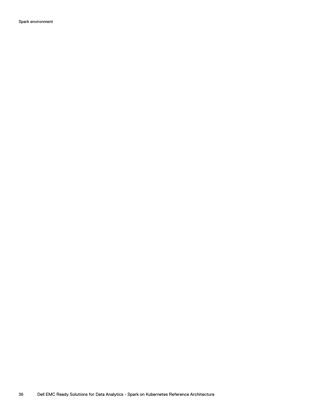Spark environment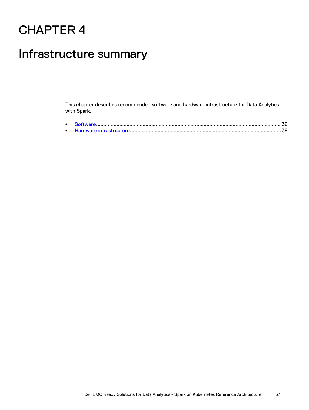# <span id="page-36-0"></span>CHAPTER 4

## Infrastructure summary

This chapter describes recommended software and hardware infrastructure for Data Analytics with Spark.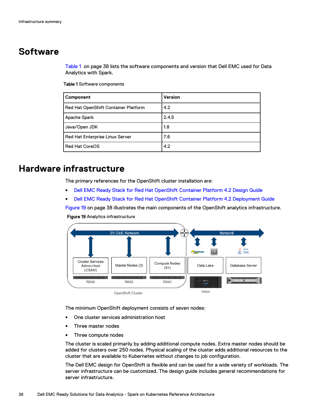## <span id="page-37-0"></span>**Software**

Table 1 on page 38 lists the software components and version that Dell EMC used for Data Analytics with Spark.

#### Table 1 Software components

| Component                            | Version |
|--------------------------------------|---------|
| Red Hat OpenShift Container Platform | 4.2     |
| Apache Spark                         | 2.4.5   |
| Java/Open JDK                        | 1.8     |
| Red Hat Enterprise Linux Server      | 7.6     |
| <b>Red Hat CoreOS</b>                | 4.2     |

## **Hardware infrastructure**

The primary references for the OpenShift cluster installation are:

- [Dell EMC Ready Stack for Red Hat OpenShift Container Platform 4.2 Design Guide](https://infohub.delltechnologies.com/t/workload-solutions-and-products/design-guide-dell-emc-ready-stack-for-red-hat-openshift-container-platform-4-2/)
- [Dell EMC Ready Stack for Red Hat OpenShift Container Platform 4.2 Deployment Guide](https://infohub.delltechnologies.com/t/workload-solutions-and-products/deployment-guide-dell-emc-ready-stack-for-red-hat-openshift-container-platform-4-2/)

Figure 19 on page 38 illustrates the main components of the OpenShift analytics infrastructure.

Figure 19 Analytics infrastructure



The minimum OpenShift deployment consists of seven nodes:

- <sup>l</sup> One cluster services administration host
- Three master nodes
- Three compute nodes

The cluster is scaled primarily by adding additional compute nodes. Extra master nodes should be added for clusters over 250 nodes. Physical scaling of the cluster adds additional resources to the cluster that are available to Kubernetes without changes to job configuration.

The Dell EMC design for OpenShift is flexible and can be used for a wide variety of workloads. The server infrastructure can be customized. The design guide includes general recommendations for server infrastructure.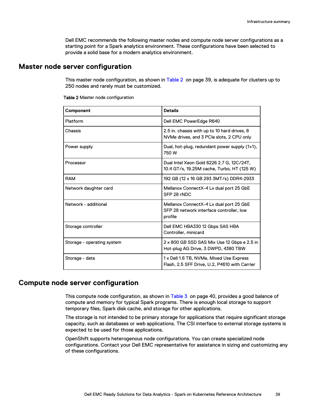Dell EMC recommends the following master nodes and compute node server configurations as a starting point for a Spark analytics environment. These configurations have been selected to provide a solid base for a modern analytics environment.

## <span id="page-38-0"></span>**Master node server configuration**

This master node configuration, as shown in Table 2 on page 39, is adequate for clusters up to 250 nodes and rarely must be customized.

| Component                  | <b>Details</b>                                                                                 |
|----------------------------|------------------------------------------------------------------------------------------------|
| Platform                   | Dell EMC PowerEdge R640                                                                        |
| Chassis                    | 2.5 in. chassis with up to 10 hard drives, 8<br>NVMe drives, and 3 PCIe slots, 2 CPU only      |
| Power supply               | Dual, hot-plug, redundant power supply (1+1),<br>750 W                                         |
| Processor                  | Dual Intel Xeon Gold 6226 2.7 G, 12C/24T,<br>10.4 GT/s, 19.25M cache, Turbo, HT (125 W)        |
| <b>RAM</b>                 | 192 GB (12 x 16 GB 293 3MT/s) DDR4-2933                                                        |
| Network daughter card      | Mellanox ConnectX-4 Lx dual port 25 GbE<br>SFP 28 rNDC                                         |
| Network - additional       | Mellanox ConnectX-4 Lx dual port 25 GbE<br>SFP 28 network interface controller, low<br>profile |
| Storage controller         | Dell EMC HBA330 12 Gbps SAS HBA<br>Controller, minicard                                        |
| Storage - operating system | 2 x 800 GB SSD SAS Mix Use 12 Gbps e 2.5 in<br>Hot-plug AG Drive, 3 DWPD, 4380 TBW             |
| Storage - data             | 1 x Dell 1.6 TB, NVMe, Mixed Use Express<br>Flash, 2.5 SFF Drive, U.2, P4610 with Carrier      |

Table 2 Master node configuration

## **Compute node server configuration**

This compute node configuration, as shown in [Table 3](#page-39-0) on page 40, provides a good balance of compute and memory for typical Spark programs. There is enough local storage to support temporary files, Spark disk cache, and storage for other applications.

The storage is not intended to be primary storage for applications that require significant storage capacity, such as databases or web applications. The CSI interface to external storage systems is expected to be used for those applications.

OpenShift supports heterogenous node configurations. You can create specialized node configurations. Contact your Dell EMC representative for assistance in sizing and customizing any of these configurations.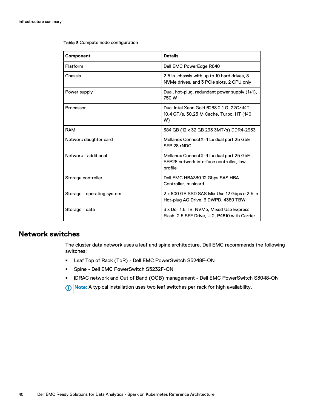| Component                  | <b>Details</b>                                                                                |
|----------------------------|-----------------------------------------------------------------------------------------------|
| Platform                   | Dell EMC PowerEdge R640                                                                       |
| Chassis                    | 2.5 in. chassis with up to 10 hard drives, 8<br>NVMe drives, and 3 PCIe slots, 2 CPU only     |
| Power supply               | Dual, hot-plug, redundant power supply (1+1),<br>750 W                                        |
| Processor                  | Dual Intel Xeon Gold 6238 2.1 G, 22C/44T,<br>10.4 GT/s, 30.25 M Cache, Turbo, HT (140<br>W)   |
| <b>RAM</b>                 | 384 GB (12 x 32 GB 293 3MT/s) DDR4-2933                                                       |
| Network daughter card      | Mellanox ConnectX-4 Lx dual port 25 GbE<br>SEP 28 rNDC                                        |
| Network - additional       | Mellanox ConnectX-4 Lx dual port 25 GbE<br>SFP28 network interface controller, low<br>profile |
| Storage controller         | Dell EMC HBA330 12 Gbps SAS HBA<br>Controller, minicard                                       |
| Storage - operating system | 2 x 800 GB SSD SAS Mix Use 12 Gbps e 2.5 in<br>Hot-plug AG Drive, 3 DWPD, 4380 TBW            |
| Storage - data             | 3 x Dell 1.6 TB, NVMe, Mixed Use Express<br>Flash, 2.5 SFF Drive, U.2, P4610 with Carrier     |

#### <span id="page-39-0"></span>Table 3 Compute node configuration

## **Network switches**

The cluster data network uses a leaf and spine architecture. Dell EMC recommends the following switches:

- Leaf Top of Rack (ToR) Dell EMC PowerSwitch S5248F-ON
- Spine Dell EMC PowerSwitch S5232F-ON
- iDRAC network and Out of Band (OOB) management Dell EMC PowerSwitch S3048-ON

 $(i)$  Note: A typical installation uses two leaf switches per rack for high availability.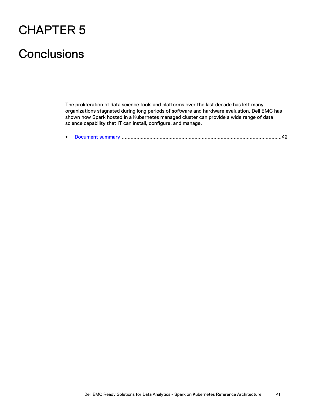# <span id="page-40-0"></span>CHAPTER 5

## **Conclusions**

The proliferation of data science tools and platforms over the last decade has left many organizations stagnated during long periods of software and hardware evaluation. Dell EMC has shown how Spark hosted in a Kubernetes managed cluster can provide a wide range of data science capability that IT can install, configure, and manage.

|  |  | <u>Document summary ……………………………………………………………………………………………42</u> |  |
|--|--|---------------------------------------------------------------|--|
|--|--|---------------------------------------------------------------|--|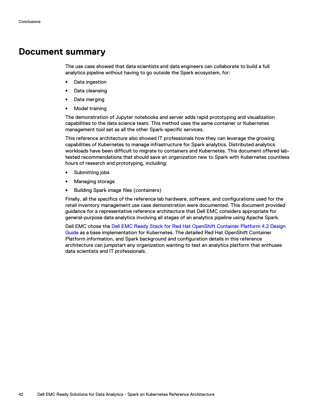## <span id="page-41-0"></span>**Document summary**

The use case showed that data scientists and data engineers can collaborate to build a full analytics pipeline without having to go outside the Spark ecosystem, for:

- Data ingestion
- Data cleansing
- Data merging
- Model training

The demonstration of Jupyter notebooks and server adds rapid prototyping and visualization capabilities to the data science team. This method uses the same container or Kubernetes management tool set as all the other Spark-specific services.

This reference architecture also showed IT professionals how they can leverage the growing capabilities of Kubernetes to manage infrastructure for Spark analytics. Distributed analytics workloads have been difficult to migrate to containers and Kubernetes. This document offered labtested recommendations that should save an organization new to Spark with Kubernetes countless hours of research and prototyping, including:

- Submitting jobs
- Managing storage
- **•** Building Spark image files (containers)

Finally, all the specifics of the reference lab hardware, software, and configurations used for the retail inventory management use case demonstration were documented. This document provided guidance for a representative reference architecture that Dell EMC considers appropriate for general-purpose data analytics involving all stages of an analytics pipeline using Apache Spark.

Dell EMC chose the [Dell EMC Ready Stack for Red Hat OpenShift Container Platform 4.2 Design](https://infohub.delltechnologies.com/t/workload-solutions-and-products/design-guide-dell-emc-ready-stack-for-red-hat-openshift-container-platform-4-2/) [Guide](https://infohub.delltechnologies.com/t/workload-solutions-and-products/design-guide-dell-emc-ready-stack-for-red-hat-openshift-container-platform-4-2/) as a base implementation for Kubernetes. The detailed Red Hat OpenShift Container Platform information, and Spark background and configuration details in this reference architecture can jumpstart any organization wanting to test an analytics platform that enthuses data scientists and IT professionals.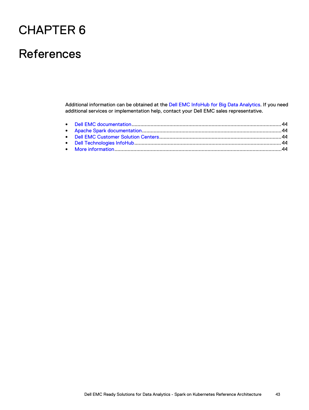# <span id="page-42-0"></span>CHAPTER 6

## References

Additional information can be obtained at the [Dell EMC InfoHub for Big Data Analytics.](https://infohub.delltechnologies.com/t/workload-solutions-and-products/ai-data-analytics/) If you need additional services or implementation help, contact your Dell EMC sales representative.